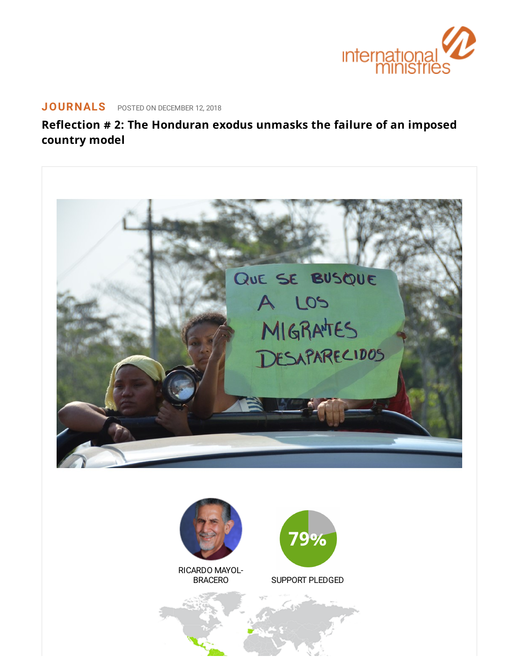

# **[JOURNALS](https://www.internationalministries.org/category/journals/)** POSTED ON DECEMBER 12, 2018

**Reflection # 2: The Honduran exodus unmasks the failure of an imposed country model**



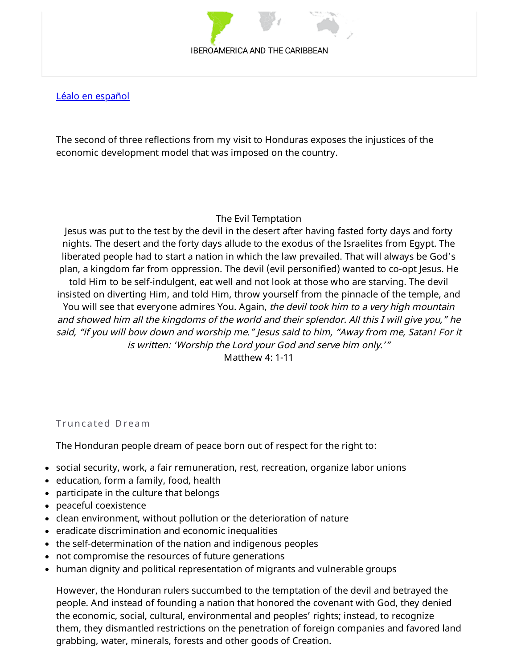#### IBEROAMERICA AND THE CARIBBEAN

Léalo en [español](https://www.internationalministries.org/?p=8216&preview=true)

The second of three reflections from my visit to Honduras exposes the injustices of the economic development model that was imposed on the country.

#### The Evil Temptation

Jesus was put to the test by the devil in the desert after having fasted forty days and forty nights. The desert and the forty days allude to the exodus of the Israelites from Egypt. The liberated people had to start a nation in which the law prevailed. That will always be God's plan, a kingdom far from oppression. The devil (evil personified) wanted to co-opt Jesus. He told Him to be self-indulgent, eat well and not look at those who are starving. The devil insisted on diverting Him, and told Him, throw yourself from the pinnacle of the temple, and You will see that everyone admires You. Again, the devil took him to a very high mountain and showed him all the kingdoms of the world and their splendor. All this <sup>I</sup> will <sup>g</sup>ive you," he said, "if you will bow down and worship me." Jesus said to him, "Away from me, Satan! For it is written: 'Worship the Lord your God and serve him only.'"

Matthew 4: 1-11

Truncated Dream

The Honduran people dream of peace born out of respect for the right to:

- social security, work, a fair remuneration, rest, recreation, organize labor unions
- education, form a family, food, health
- participate in the culture that belongs
- peaceful coexistence
- clean environment, without pollution or the deterioration of nature
- eradicate discrimination and economic inequalities
- the self-determination of the nation and indigenous peoples
- not compromise the resources of future generations
- human dignity and political representation of migrants and vulnerable groups

However, the Honduran rulers succumbed to the temptation of the devil and betrayed the people. And instead of founding a nation that honored the covenant with God, they denied the economic, social, cultural, environmental and peoples' rights; instead, to recognize them, they dismantled restrictions on the penetration of foreign companies and favored land grabbing, water, minerals, forests and other goods of Creation.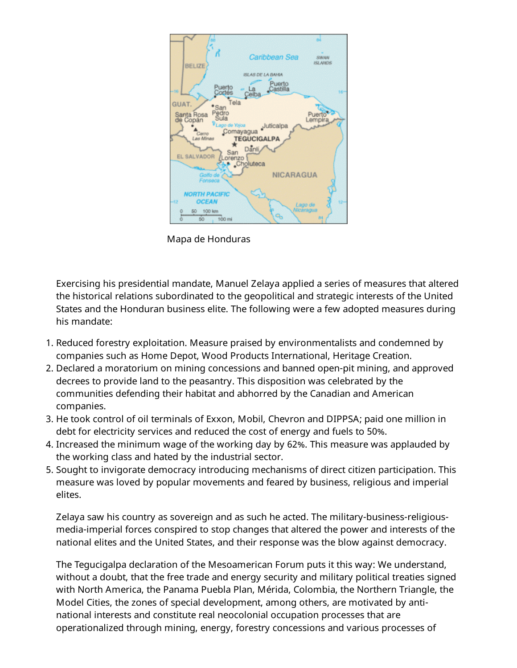

Mapa de Honduras

Exercising his presidential mandate, Manuel Zelaya applied a series of measures that altered the historical relations subordinated to the geopolitical and strategic interests of the United States and the Honduran business elite. The following were a few adopted measures during his mandate:

- 1. Reduced forestry exploitation. Measure praised by environmentalists and condemned by companies such as Home Depot, Wood Products International, Heritage Creation.
- 2. Declared a moratorium on mining concessions and banned open-pit mining, and approved decrees to provide land to the peasantry. This disposition was celebrated by the communities defending their habitat and abhorred by the Canadian and American companies.
- 3. He took control of oil terminals of Exxon, Mobil, Chevron and DIPPSA; paid one million in debt for electricity services and reduced the cost of energy and fuels to 50%.
- 4. Increased the minimum wage of the working day by 62%. This measure was applauded by the working class and hated by the industrial sector.
- 5. Sought to invigorate democracy introducing mechanisms of direct citizen participation. This measure was loved by popular movements and feared by business, religious and imperial elites.

Zelaya saw his country as sovereign and as such he acted. The military-business-religiousmedia-imperial forces conspired to stop changes that altered the power and interests of the national elites and the United States, and their response was the blow against democracy.

The Tegucigalpa declaration of the Mesoamerican Forum puts it this way: We understand, without a doubt, that the free trade and energy security and military political treaties signed with North America, the Panama Puebla Plan, Mérida, Colombia, the Northern Triangle, the Model Cities, the zones of special development, among others, are motivated by antinational interests and constitute real neocolonial occupation processes that are operationalized through mining, energy, forestry concessions and various processes of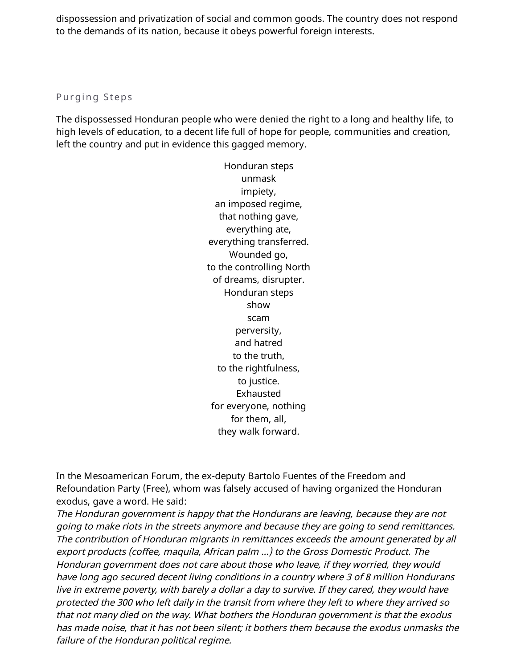dispossession and privatization of social and common goods. The country does not respond to the demands of its nation, because it obeys powerful foreign interests.

### Purging Steps

The dispossessed Honduran people who were denied the right to a long and healthy life, to high levels of education, to a decent life full of hope for people, communities and creation, left the country and put in evidence this gagged memory.

> Honduran steps unmask impiety, an imposed regime, that nothing gave, everything ate, everything transferred. Wounded go, to the controlling North of dreams, disrupter. Honduran steps show scam perversity, and hatred to the truth, to the rightfulness, to justice. Exhausted for everyone, nothing for them, all, they walk forward.

In the Mesoamerican Forum, the ex-deputy Bartolo Fuentes of the Freedom and Refoundation Party (Free), whom was falsely accused of having organized the Honduran exodus, gave a word. He said:

The Honduran government is happy that the Hondurans are leaving, because they are not going to make riots in the streets anymore and because they are going to send remittances. The contribution of Honduran migrants in remittances exceeds the amount generated by all export products (coffee, maquila, African palm …) to the Gross Domestic Product. The Honduran government does not care about those who leave, if they worried, they would have long ago secured decent living conditions in <sup>a</sup> country where 3 of 8 million Hondurans live in extreme poverty, with barely <sup>a</sup> dollar <sup>a</sup> day to survive. If they cared, they would have protected the 300 who left daily in the transit from where they left to where they arrived so that not many died on the way. What bothers the Honduran government is that the exodus has made noise, that it has not been silent; it bothers them because the exodus unmasks the failure of the Honduran political regime.